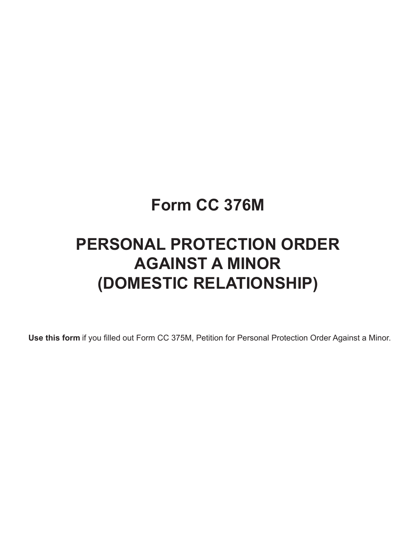## **Form CC 376M**

# **PERSONAL PROTECTION ORDER AGAINST A MINOR (DOMESTIC RELATIONSHIP)**

**Use this form** if you filled out Form CC 375M, Petition for Personal Protection Order Against a Minor.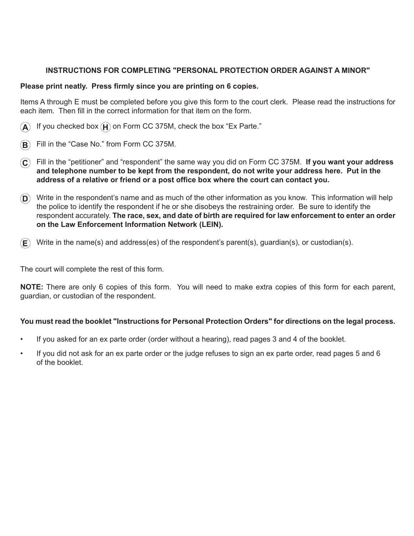### **INSTRUCTIONS FOR COMPLETING "PERSONAL PROTECTION ORDER AGAINST A MINOR"**

#### **Please print neatly. Press firmly since you are printing on 6 copies.**

Items A through E must be completed before you give this form to the court clerk. Please read the instructions for each item. Then fill in the correct information for that item on the form.

- If you checked box  $(\mathbf{H})$  on Form CC 375M, check the box "Ex Parte."
- $\mathbf{B}$  Fill in the "Case No." from Form CC 375M.
- **C** Fill in the "petitioner" and "respondent" the same way you did on Form CC 375M. **If you want your address and telephone number to be kept from the respondent, do not write your address here. Put in the address of a relative or friend or a post office box where the court can contact you.**
- **D** Write in the respondent's name and as much of the other information as you know. This information will help the police to identify the respondent if he or she disobeys the restraining order. Be sure to identify the respondent accurately. **The race, sex, and date of birth are required for law enforcement to enter an order on the Law Enforcement Information Network (LEIN).**
- **E** Write in the name(s) and address(es) of the respondent's parent(s), guardian(s), or custodian(s).

The court will complete the rest of this form.

**NOTE:** There are only 6 copies of this form. You will need to make extra copies of this form for each parent, guardian, or custodian of the respondent.

#### **You must read the booklet "Instructions for Personal Protection Orders" for directions on the legal process.**

- If you asked for an ex parte order (order without a hearing), read pages 3 and 4 of the booklet.
- If you did not ask for an ex parte order or the judge refuses to sign an ex parte order, read pages 5 and 6 of the booklet.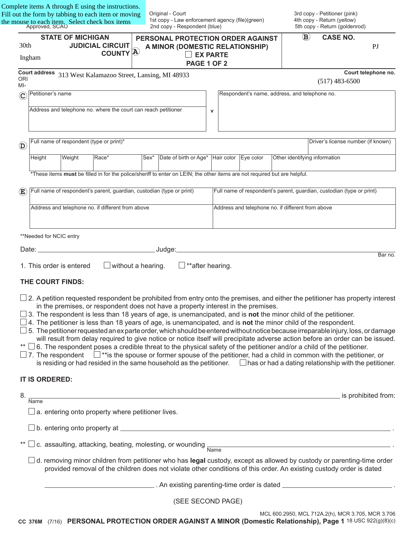the mouse to each item. Select check box items<br>Approved, SCAO Complete items A through E using the instructions. Fill out the form by tabbing to each item or moving Approve

Original - Court 1st copy - Law enforcement agency (file)(green) 2nd copy - Respondent (blue)

3rd copy - Petitioner (pink) 4th copy - Return (yellow) 5th copy - Return (goldenrod)

| 30th                      | <b>STATE OF MICHIGAN</b><br><b>JUDICIAL CIRCUIT</b>                                                                                                                                                                                                                                                                                                                                                                                                                                                                                                                                                                                                                                                                                                                                                                                                                                                                                                                                                                                                                                                                                                                 | PERSONAL PROTECTION ORDER AGAINST<br>A MINOR (DOMESTIC RELATIONSHIP)                                           |              |                                                                       |                                                   | $\mathbf{B})$ | <b>CASE NO.</b>                    | PI                  |
|---------------------------|---------------------------------------------------------------------------------------------------------------------------------------------------------------------------------------------------------------------------------------------------------------------------------------------------------------------------------------------------------------------------------------------------------------------------------------------------------------------------------------------------------------------------------------------------------------------------------------------------------------------------------------------------------------------------------------------------------------------------------------------------------------------------------------------------------------------------------------------------------------------------------------------------------------------------------------------------------------------------------------------------------------------------------------------------------------------------------------------------------------------------------------------------------------------|----------------------------------------------------------------------------------------------------------------|--------------|-----------------------------------------------------------------------|---------------------------------------------------|---------------|------------------------------------|---------------------|
|                           | COUNTY <sup>[A]</sup><br>Ingham                                                                                                                                                                                                                                                                                                                                                                                                                                                                                                                                                                                                                                                                                                                                                                                                                                                                                                                                                                                                                                                                                                                                     | <b>EX PARTE</b><br>PAGE 1 OF 2                                                                                 |              |                                                                       |                                                   |               |                                    |                     |
| <b>ORI</b><br>MI-         | Court address 313 West Kalamazoo Street, Lansing, MI 48933                                                                                                                                                                                                                                                                                                                                                                                                                                                                                                                                                                                                                                                                                                                                                                                                                                                                                                                                                                                                                                                                                                          |                                                                                                                |              |                                                                       |                                                   |               | $(517)$ 483-6500                   | Court telephone no. |
| $\copyright$              | Petitioner's name                                                                                                                                                                                                                                                                                                                                                                                                                                                                                                                                                                                                                                                                                                                                                                                                                                                                                                                                                                                                                                                                                                                                                   |                                                                                                                |              | Respondent's name, address, and telephone no.                         |                                                   |               |                                    |                     |
|                           | Address and telephone no. where the court can reach petitioner                                                                                                                                                                                                                                                                                                                                                                                                                                                                                                                                                                                                                                                                                                                                                                                                                                                                                                                                                                                                                                                                                                      |                                                                                                                | $\mathsf{v}$ |                                                                       |                                                   |               |                                    |                     |
| $\circledR$               | Full name of respondent (type or print)*                                                                                                                                                                                                                                                                                                                                                                                                                                                                                                                                                                                                                                                                                                                                                                                                                                                                                                                                                                                                                                                                                                                            |                                                                                                                |              |                                                                       |                                                   |               | Driver's license number (if known) |                     |
|                           | Height<br>Weight<br>Race*                                                                                                                                                                                                                                                                                                                                                                                                                                                                                                                                                                                                                                                                                                                                                                                                                                                                                                                                                                                                                                                                                                                                           | Date of birth or Age* Hair color Eye color<br>lSex*                                                            |              |                                                                       | Other identifying information                     |               |                                    |                     |
|                           | *These items must be filled in for the police/sheriff to enter on LEIN; the other items are not required but are helpful.                                                                                                                                                                                                                                                                                                                                                                                                                                                                                                                                                                                                                                                                                                                                                                                                                                                                                                                                                                                                                                           |                                                                                                                |              |                                                                       |                                                   |               |                                    |                     |
| $\left(\mathbf{E}\right)$ | Full name of respondent's parent, guardian, custodian (type or print)                                                                                                                                                                                                                                                                                                                                                                                                                                                                                                                                                                                                                                                                                                                                                                                                                                                                                                                                                                                                                                                                                               |                                                                                                                |              | Full name of respondent's parent, guardian, custodian (type or print) |                                                   |               |                                    |                     |
|                           | Address and telephone no. if different from above                                                                                                                                                                                                                                                                                                                                                                                                                                                                                                                                                                                                                                                                                                                                                                                                                                                                                                                                                                                                                                                                                                                   |                                                                                                                |              |                                                                       | Address and telephone no. if different from above |               |                                    |                     |
|                           | **Needed for NCIC entry                                                                                                                                                                                                                                                                                                                                                                                                                                                                                                                                                                                                                                                                                                                                                                                                                                                                                                                                                                                                                                                                                                                                             | _Judge:__                                                                                                      |              |                                                                       |                                                   |               |                                    |                     |
|                           | 1. This order is entered                                                                                                                                                                                                                                                                                                                                                                                                                                                                                                                                                                                                                                                                                                                                                                                                                                                                                                                                                                                                                                                                                                                                            | $\Box$ **after hearing.<br>$\Box$ without a hearing.                                                           |              |                                                                       |                                                   |               |                                    | Bar no.             |
|                           | THE COURT FINDS:                                                                                                                                                                                                                                                                                                                                                                                                                                                                                                                                                                                                                                                                                                                                                                                                                                                                                                                                                                                                                                                                                                                                                    |                                                                                                                |              |                                                                       |                                                   |               |                                    |                     |
|                           | $\Box$ 2. A petition requested respondent be prohibited from entry onto the premises, and either the petitioner has property interest<br>in the premises, or respondent does not have a property interest in the premises.<br>$\Box$ 3. The respondent is less than 18 years of age, is unemancipated, and is <b>not</b> the minor child of the petitioner.<br>$\Box$ 4. The petitioner is less than 18 years of age, is unemancipated, and is not the minor child of the respondent.<br>5. The petitioner requested an exparte order, which should be entered without notice because irreparable injury, loss, or damage<br>will result from delay required to give notice or notice itself will precipitate adverse action before an order can be issued.<br>$\Box$ 6. The respondent poses a credible threat to the physical safety of the petitioner and/or a child of the petitioner.<br>$\Box$ 7. The respondent $\Box$ **is the spouse or former spouse of the petitioner, had a child in common with the petitioner, or<br>is residing or had resided in the same household as the petitioner. $\Box$ has or had a dating relationship with the petitioner. |                                                                                                                |              |                                                                       |                                                   |               |                                    |                     |
|                           | IT IS ORDERED:                                                                                                                                                                                                                                                                                                                                                                                                                                                                                                                                                                                                                                                                                                                                                                                                                                                                                                                                                                                                                                                                                                                                                      |                                                                                                                |              |                                                                       |                                                   |               |                                    |                     |
| 8.                        | <b>Name</b>                                                                                                                                                                                                                                                                                                                                                                                                                                                                                                                                                                                                                                                                                                                                                                                                                                                                                                                                                                                                                                                                                                                                                         | is prohibited from: which is a state of the state of the state of the state of the state of the state of the s |              |                                                                       |                                                   |               |                                    |                     |
|                           | $\Box$ a. entering onto property where petitioner lives.                                                                                                                                                                                                                                                                                                                                                                                                                                                                                                                                                                                                                                                                                                                                                                                                                                                                                                                                                                                                                                                                                                            |                                                                                                                |              |                                                                       |                                                   |               |                                    |                     |
|                           |                                                                                                                                                                                                                                                                                                                                                                                                                                                                                                                                                                                                                                                                                                                                                                                                                                                                                                                                                                                                                                                                                                                                                                     |                                                                                                                |              |                                                                       |                                                   |               |                                    |                     |
|                           | c. assaulting, attacking, beating, molesting, or wounding Name                                                                                                                                                                                                                                                                                                                                                                                                                                                                                                                                                                                                                                                                                                                                                                                                                                                                                                                                                                                                                                                                                                      |                                                                                                                |              |                                                                       |                                                   |               |                                    |                     |
|                           | $\Box$ d. removing minor children from petitioner who has legal custody, except as allowed by custody or parenting-time order<br>provided removal of the children does not violate other conditions of this order. An existing custody order is dated                                                                                                                                                                                                                                                                                                                                                                                                                                                                                                                                                                                                                                                                                                                                                                                                                                                                                                               |                                                                                                                |              |                                                                       |                                                   |               |                                    |                     |
|                           |                                                                                                                                                                                                                                                                                                                                                                                                                                                                                                                                                                                                                                                                                                                                                                                                                                                                                                                                                                                                                                                                                                                                                                     |                                                                                                                |              |                                                                       |                                                   |               |                                    |                     |
|                           |                                                                                                                                                                                                                                                                                                                                                                                                                                                                                                                                                                                                                                                                                                                                                                                                                                                                                                                                                                                                                                                                                                                                                                     | (CEE CECONID DACE)                                                                                             |              |                                                                       |                                                   |               |                                    |                     |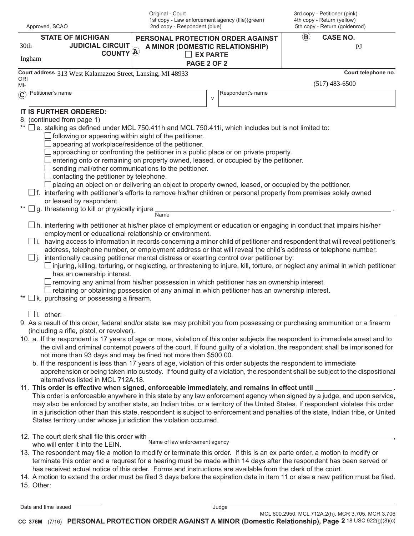| Approved, SCAO<br><b>STATE OF MICHIGAN</b><br><b>JUDICIAL CIRCUIT</b><br>30th<br>COUNTY <sup>[A]</sup><br>Ingham                                                                                                                                                                                                                                                                                                                                                                                                                                                                                                                                                                                                                                                                                                                                                                                                                                                                                                                                                                                                                                                                                                                                                                                                                                                                                                                                                                                                                                                                                                                                                                                                                                                   |                                                                                                                                                                                                                                                                                                                                                                                                                                                                                                                                                                                                                                                                                                                                                                                                                                                                                                                                                                                                                                                                                                                                                                                                                                                                                                                                                                                                                   | Original - Court<br>1st copy - Law enforcement agency (file)(green)<br>2nd copy - Respondent (blue)           |              |                   | 3rd copy - Petitioner (pink)<br>4th copy - Return (yellow)<br>5th copy - Return (goldenrod) |                       |  |
|--------------------------------------------------------------------------------------------------------------------------------------------------------------------------------------------------------------------------------------------------------------------------------------------------------------------------------------------------------------------------------------------------------------------------------------------------------------------------------------------------------------------------------------------------------------------------------------------------------------------------------------------------------------------------------------------------------------------------------------------------------------------------------------------------------------------------------------------------------------------------------------------------------------------------------------------------------------------------------------------------------------------------------------------------------------------------------------------------------------------------------------------------------------------------------------------------------------------------------------------------------------------------------------------------------------------------------------------------------------------------------------------------------------------------------------------------------------------------------------------------------------------------------------------------------------------------------------------------------------------------------------------------------------------------------------------------------------------------------------------------------------------|-------------------------------------------------------------------------------------------------------------------------------------------------------------------------------------------------------------------------------------------------------------------------------------------------------------------------------------------------------------------------------------------------------------------------------------------------------------------------------------------------------------------------------------------------------------------------------------------------------------------------------------------------------------------------------------------------------------------------------------------------------------------------------------------------------------------------------------------------------------------------------------------------------------------------------------------------------------------------------------------------------------------------------------------------------------------------------------------------------------------------------------------------------------------------------------------------------------------------------------------------------------------------------------------------------------------------------------------------------------------------------------------------------------------|---------------------------------------------------------------------------------------------------------------|--------------|-------------------|---------------------------------------------------------------------------------------------|-----------------------|--|
|                                                                                                                                                                                                                                                                                                                                                                                                                                                                                                                                                                                                                                                                                                                                                                                                                                                                                                                                                                                                                                                                                                                                                                                                                                                                                                                                                                                                                                                                                                                                                                                                                                                                                                                                                                    |                                                                                                                                                                                                                                                                                                                                                                                                                                                                                                                                                                                                                                                                                                                                                                                                                                                                                                                                                                                                                                                                                                                                                                                                                                                                                                                                                                                                                   | PERSONAL PROTECTION ORDER AGAINST<br>A MINOR (DOMESTIC RELATIONSHIP)<br><b>EX PARTE</b><br><b>PAGE 2 OF 2</b> |              |                   | $\bf (\mathbf B)$                                                                           | <b>CASE NO.</b><br>PI |  |
|                                                                                                                                                                                                                                                                                                                                                                                                                                                                                                                                                                                                                                                                                                                                                                                                                                                                                                                                                                                                                                                                                                                                                                                                                                                                                                                                                                                                                                                                                                                                                                                                                                                                                                                                                                    | Court address 313 West Kalamazoo Street, Lansing, MI 48933                                                                                                                                                                                                                                                                                                                                                                                                                                                                                                                                                                                                                                                                                                                                                                                                                                                                                                                                                                                                                                                                                                                                                                                                                                                                                                                                                        |                                                                                                               |              |                   |                                                                                             | Court telephone no.   |  |
| ORI<br>MI-                                                                                                                                                                                                                                                                                                                                                                                                                                                                                                                                                                                                                                                                                                                                                                                                                                                                                                                                                                                                                                                                                                                                                                                                                                                                                                                                                                                                                                                                                                                                                                                                                                                                                                                                                         |                                                                                                                                                                                                                                                                                                                                                                                                                                                                                                                                                                                                                                                                                                                                                                                                                                                                                                                                                                                                                                                                                                                                                                                                                                                                                                                                                                                                                   |                                                                                                               |              |                   |                                                                                             | $(517)$ 483-6500      |  |
| $\left( \mathbf{C}\right)$                                                                                                                                                                                                                                                                                                                                                                                                                                                                                                                                                                                                                                                                                                                                                                                                                                                                                                                                                                                                                                                                                                                                                                                                                                                                                                                                                                                                                                                                                                                                                                                                                                                                                                                                         | Petitioner's name                                                                                                                                                                                                                                                                                                                                                                                                                                                                                                                                                                                                                                                                                                                                                                                                                                                                                                                                                                                                                                                                                                                                                                                                                                                                                                                                                                                                 |                                                                                                               | $\mathsf{V}$ | Respondent's name |                                                                                             |                       |  |
| IT IS FURTHER ORDERED:<br>8. (continued from page 1)<br>** $\Box$ e. stalking as defined under MCL 750.411h and MCL 750.411i, which includes but is not limited to:<br>$\Box$ following or appearing within sight of the petitioner.<br>appearing at workplace/residence of the petitioner.<br>approaching or confronting the petitioner in a public place or on private property.<br>entering onto or remaining on property owned, leased, or occupied by the petitioner.<br>$\Box$ sending mail/other communications to the petitioner.<br>$\Box$ contacting the petitioner by telephone.<br>placing an object on or delivering an object to property owned, leased, or occupied by the petitioner.<br>$\Box$ f. interfering with petitioner's efforts to remove his/her children or personal property from premises solely owned<br>or leased by respondent.<br>g. threatening to kill or physically injure<br>Name<br>employment or educational relationship or environment.<br>$\Box$ i. having access to information in records concerning a minor child of petitioner and respondent that will reveal petitioner's<br>address, telephone number, or employment address or that will reveal the child's address or telephone number.<br>$\Box$ j. intentionally causing petitioner mental distress or exerting control over petitioner by:<br>injuring, killing, torturing, or neglecting, or threatening to injure, kill, torture, or neglect any animal in which petitioner<br>has an ownership interest.<br>$\Box$ removing any animal from his/her possession in which petitioner has an ownership interest.<br>retaining or obtaining possession of any animal in which petitioner has an ownership interest.<br>k. purchasing or possessing a firearm. |                                                                                                                                                                                                                                                                                                                                                                                                                                                                                                                                                                                                                                                                                                                                                                                                                                                                                                                                                                                                                                                                                                                                                                                                                                                                                                                                                                                                                   |                                                                                                               |              |                   |                                                                                             |                       |  |
|                                                                                                                                                                                                                                                                                                                                                                                                                                                                                                                                                                                                                                                                                                                                                                                                                                                                                                                                                                                                                                                                                                                                                                                                                                                                                                                                                                                                                                                                                                                                                                                                                                                                                                                                                                    | $\Box$ I. other: $\_$<br>9. As a result of this order, federal and/or state law may prohibit you from possessing or purchasing ammunition or a firearm<br>(including a rifle, pistol, or revolver).<br>10. a. If the respondent is 17 years of age or more, violation of this order subjects the respondent to immediate arrest and to<br>the civil and criminal contempt powers of the court. If found guilty of a violation, the respondent shall be imprisoned for<br>not more than 93 days and may be fined not more than \$500.00.<br>b. If the respondent is less than 17 years of age, violation of this order subjects the respondent to immediate<br>apprehension or being taken into custody. If found guilty of a violation, the respondent shall be subject to the dispositional<br>alternatives listed in MCL 712A.18.<br>11. This order is effective when signed, enforceable immediately, and remains in effect until ____<br>This order is enforceable anywhere in this state by any law enforcement agency when signed by a judge, and upon service,<br>may also be enforced by another state, an Indian tribe, or a territory of the United States. If respondent violates this order<br>in a jurisdiction other than this state, respondent is subject to enforcement and penalties of the state, Indian tribe, or United<br>States territory under whose jurisdiction the violation occurred. |                                                                                                               |              |                   |                                                                                             |                       |  |
|                                                                                                                                                                                                                                                                                                                                                                                                                                                                                                                                                                                                                                                                                                                                                                                                                                                                                                                                                                                                                                                                                                                                                                                                                                                                                                                                                                                                                                                                                                                                                                                                                                                                                                                                                                    | 12. The court clerk shall file this order with $\frac{1}{\text{Name of law enforcement agency}}$<br>who will enter it into the LEIN.<br>13. The respondent may file a motion to modify or terminate this order. If this is an ex parte order, a motion to modify or<br>terminate this order and a requrest for a hearing must be made within 14 days after the respondent has been served or<br>has received actual notice of this order. Forms and instructions are available from the clerk of the court.<br>14. A motion to extend the order must be filed 3 days before the expiration date in item 11 or else a new petition must be filed.<br>15. Other:                                                                                                                                                                                                                                                                                                                                                                                                                                                                                                                                                                                                                                                                                                                                                    |                                                                                                               |              |                   |                                                                                             |                       |  |

| Date and time issued | Judge |  |
|----------------------|-------|--|